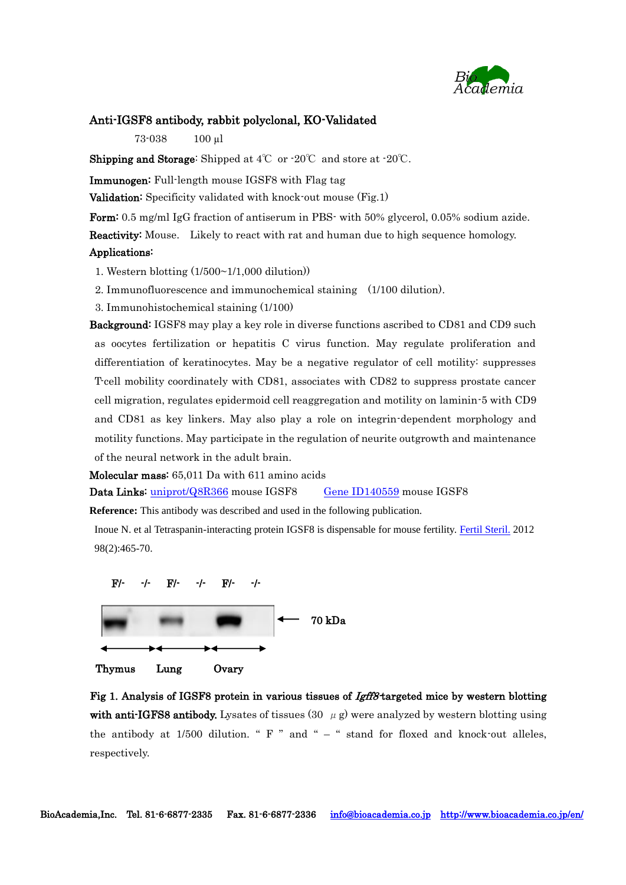

## Anti-IGSF8 antibody, rabbit polyclonal, KO-Validated

73-038 100 µl

**Shipping and Storage:** Shipped at  $4^{\circ}\text{C}$  or  $-20^{\circ}\text{C}$  and store at  $-20^{\circ}\text{C}$ .

Immunogen: Full-length mouse IGSF8 with Flag tag

**Validation:** Specificity validated with knock-out mouse (Fig.1)

Form: 0.5 mg/ml IgG fraction of antiserum in PBS- with 50% glycerol, 0.05% sodium azide. Reactivity: Mouse. Likely to react with rat and human due to high sequence homology. Applications:

1. Western blotting (1/500~1/1,000 dilution))

2. Immunofluorescence and immunochemical staining (1/100 dilution).

3. Immunohistochemical staining (1/100)

Background: IGSF8 may play a key role in diverse functions ascribed to CD81 and CD9 such as oocytes fertilization or hepatitis C virus function. May regulate proliferation and differentiation of keratinocytes. May be a negative regulator of cell motility: suppresses T-cell mobility coordinately with CD81, associates with CD82 to suppress prostate cancer cell migration, regulates epidermoid cell reaggregation and motility on laminin-5 with CD9 and CD81 as key linkers. May also play a role on integrin-dependent morphology and motility functions. May participate in the regulation of neurite outgrowth and maintenance of the neural network in the adult brain.

Molecular mass: 65,011 Da with 611 amino acids

Data Links: [uniprot/Q8R366](http://www.uniprot.org/uniprot/Q8R366) mouse IGSF8 [Gene ID140559](http://www.ncbi.nlm.nih.gov/gene?cmd=Retrieve&dopt=Graphics&list_uids=140559) mouse IGSF8

**Reference:** This antibody was described and used in the following publication.

Inoue N. et al Tetraspanin-interacting protein IGSF8 is dispensable for mouse fertility. [Fertil Steril.](http://www.ncbi.nlm.nih.gov/pubmed/?term=Ikawa+M%2C+IGSF8) 2012 98(2):465-70.



Thymus Lung Ovary

Fig 1. Analysis of IGSF8 protein in various tissues of *Igff8* targeted mice by western blotting with anti-IGFS8 antibody. Lysates of tissues (30  $\mu$  g) were analyzed by western blotting using the antibody at  $1/500$  dilution. " F " and " – " stand for floxed and knock-out alleles, respectively.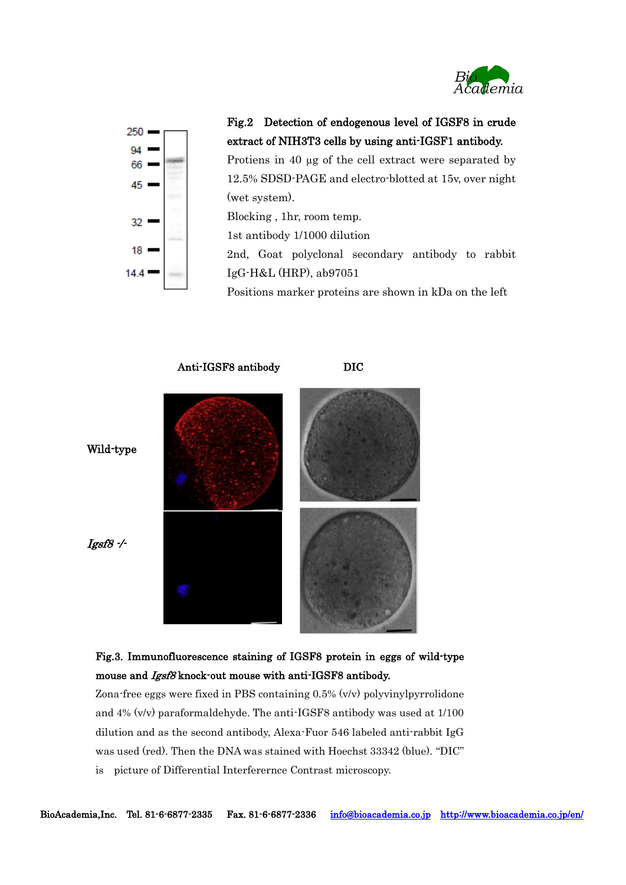



Fig.2 Detection of endogenous level of IGSF8 in crude extract of NIH3T3 cells by using anti-IGSF1 antibody.

Protiens in 40 µg of the cell extract were separated by 12.5% SDSD-PAGE and electro-blotted at 15v, over night (wet system).

Blocking , 1hr, room temp.

1st antibody 1/1000 dilution

2nd, Goat polyclonal secondary antibody to rabbit IgG-H&L (HRP), ab97051

Positions marker proteins are shown in kDa on the left



Fig.3. Immunofluorescence staining of IGSF8 protein in eggs of wild-type mouse and Igsf8 knock-out mouse with anti-IGSF8 antibody.

Zona-free eggs were fixed in PBS containing 0.5% (v/v) polyvinylpyrrolidone and 4% (v/v) paraformaldehyde. The anti-IGSF8 antibody was used at 1/100 dilution and as the second antibody, Alexa-Fuor 546 labeled anti-rabbit IgG was used (red). Then the DNA was stained with Hoechst 33342 (blue). "DIC" is picture of Differential Interferernce Contrast microscopy.